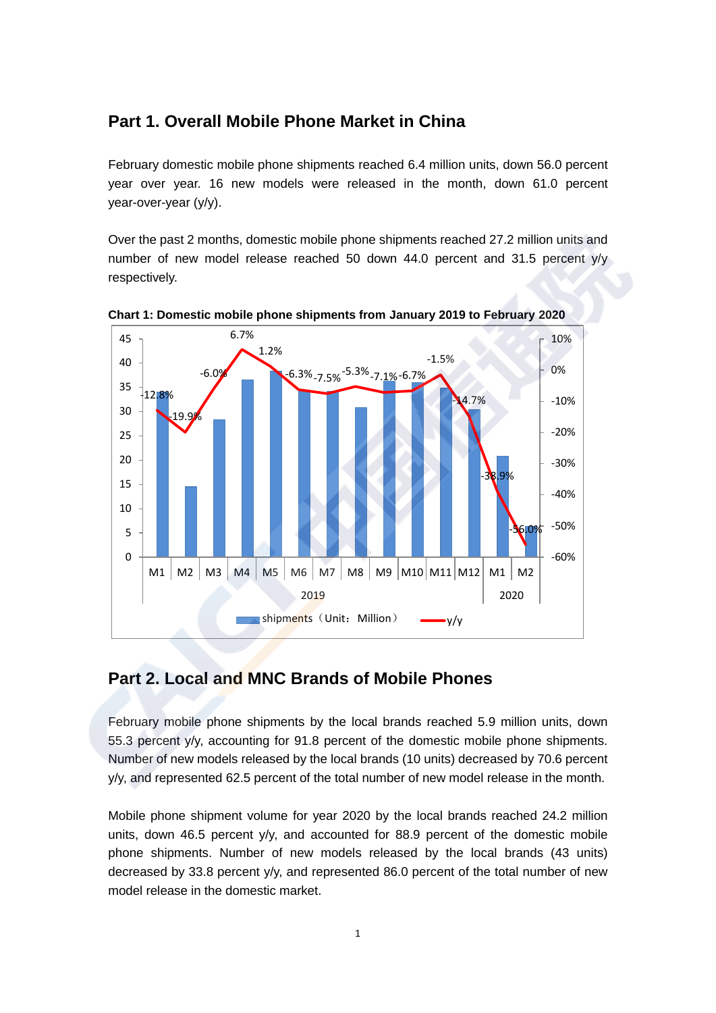## **Part 1. Overall Mobile Phone Market in China**

February domestic mobile phone shipments reached 6.4 million units, down 56.0 percent year over year. 16 new models were released in the month, down 61.0 percent year-over-year (y/y).

Over the past 2 months, domestic mobile phone shipments reached 27.2 million units and number of new model release reached 50 down 44.0 percent and 31.5 percent y/y respectively.





## **Part 2. Local and MNC Brands of Mobile Phones**

February mobile phone shipments by the local brands reached 5.9 million units, down 55.3 percent y/y, accounting for 91.8 percent of the domestic mobile phone shipments. Number of new models released by the local brands (10 units) decreased by 70.6 percent y/y, and represented 62.5 percent of the total number of new model release in the month.

Mobile phone shipment volume for year 2020 by the local brands reached 24.2 million units, down 46.5 percent y/y, and accounted for 88.9 percent of the domestic mobile phone shipments. Number of new models released by the local brands (43 units) decreased by 33.8 percent y/y, and represented 86.0 percent of the total number of new model release in the domestic market.